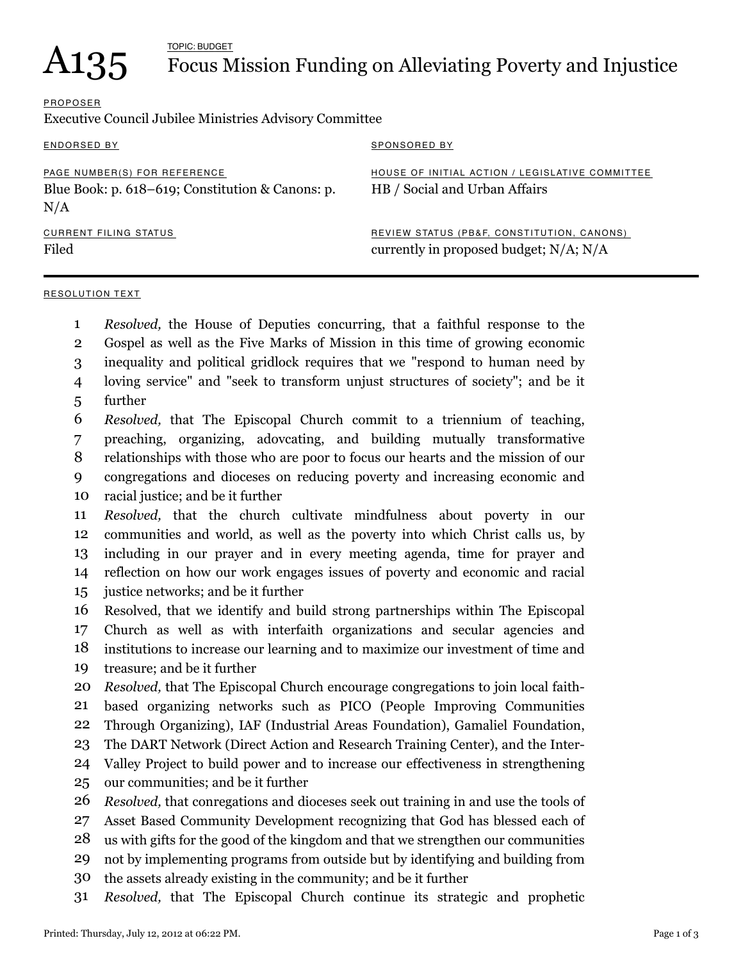# $A135$  Focus M

## Focus Mission Funding on Alleviating Poverty and Injustice

## PROPOSER

Executive Council Jubilee Ministries Advisory Committee

| ENDORSED BY                                                                             | <b>SPONSORED BY</b>                                                                       |
|-----------------------------------------------------------------------------------------|-------------------------------------------------------------------------------------------|
| PAGE NUMBER(S) FOR REFERENCE<br>Blue Book: p. 618–619; Constitution & Canons: p.<br>N/A | HOUSE OF INITIAL ACTION / LEGISLATIVE COMMITTEE<br>HB / Social and Urban Affairs          |
| CURRENT FILING STATUS<br>Filed                                                          | REVIEW STATUS (PB&F, CONSTITUTION, CANONS)<br>currently in proposed budget; $N/A$ ; $N/A$ |

#### RESOLUTION TEXT

- *Resolved,* the House of Deputies concurring, that a faithful response to the 1
- Gospel as well as the Five Marks of Mission in this time of growing economic 2
- inequality and political gridlock requires that we "respond to human need by 3
- loving service" and "seek to transform unjust structures of society"; and be it 4
- further 5
- *Resolved,* that The Episcopal Church commit to a triennium of teaching, 6
- preaching, organizing, adovcating, and building mutually transformative 7
- relationships with those who are poor to focus our hearts and the mission of our 8
- congregations and dioceses on reducing poverty and increasing economic and 9
- racial justice; and be it further 10
- *Resolved,* that the church cultivate mindfulness about poverty in our communities and world, as well as the poverty into which Christ calls us, by including in our prayer and in every meeting agenda, time for prayer and reflection on how our work engages issues of poverty and economic and racial 11 12 13 14
- justice networks; and be it further 15
- Resolved, that we identify and build strong partnerships within The Episcopal 16
- Church as well as with interfaith organizations and secular agencies and institutions to increase our learning and to maximize our investment of time and 17 18
- treasure; and be it further 19
- *Resolved,* that The Episcopal Church encourage congregations to join local faith-20
- based organizing networks such as PICO (People Improving Communities 21
- Through Organizing), IAF (Industrial Areas Foundation), Gamaliel Foundation, 22
- The DART Network (Direct Action and Research Training Center), and the Inter-23
- Valley Project to build power and to increase our effectiveness in strengthening 24
- our communities; and be it further 25
- *Resolved,* that conregations and dioceses seek out training in and use the tools of 26
- Asset Based Community Development recognizing that God has blessed each of 27
- us with gifts for the good of the kingdom and that we strengthen our communities 28
- not by implementing programs from outside but by identifying and building from 29
- the assets already existing in the community; and be it further 30
- *Resolved,* that The Episcopal Church continue its strategic and prophetic 31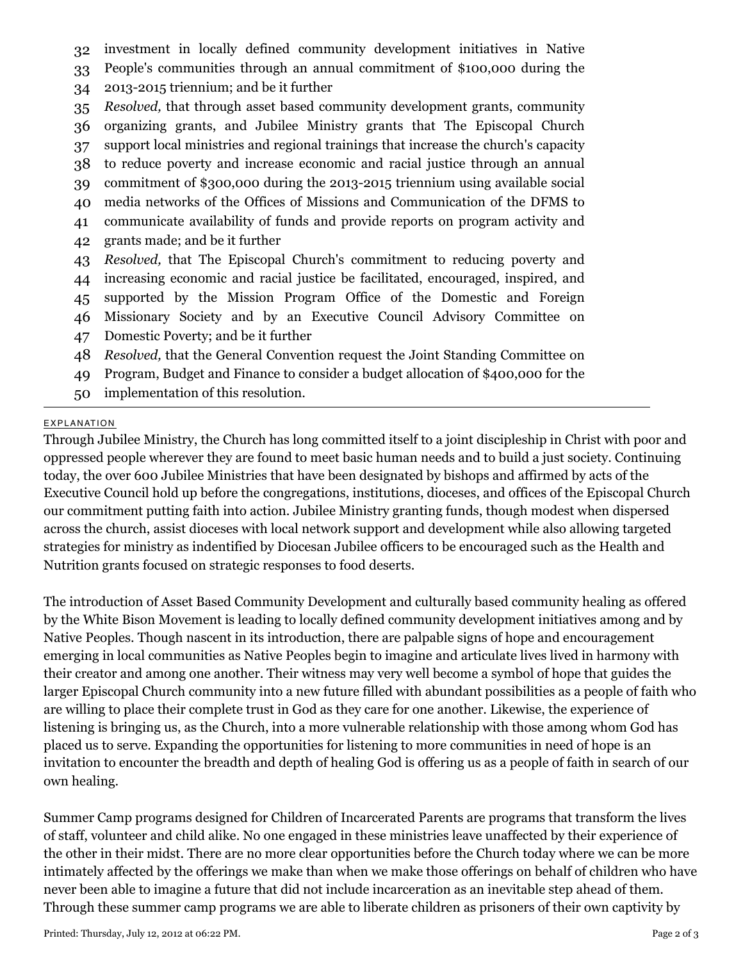- investment in locally defined community development initiatives in Native 32
- People's communities through an annual commitment of \$100,000 during the 33
- 2013-2015 triennium; and be it further 34
- *Resolved,* that through asset based community development grants, community 35
- organizing grants, and Jubilee Ministry grants that The Episcopal Church 36
- support local ministries and regional trainings that increase the church's capacity to reduce poverty and increase economic and racial justice through an annual 37 38
- commitment of \$300,000 during the 2013-2015 triennium using available social 39
- media networks of the Offices of Missions and Communication of the DFMS to 40
- communicate availability of funds and provide reports on program activity and 41
- grants made; and be it further 42
- *Resolved,* that The Episcopal Church's commitment to reducing poverty and 43
- increasing economic and racial justice be facilitated, encouraged, inspired, and 44
- supported by the Mission Program Office of the Domestic and Foreign 45
- Missionary Society and by an Executive Council Advisory Committee on 46
- Domestic Poverty; and be it further 47
- *Resolved,* that the General Convention request the Joint Standing Committee on 48
- Program, Budget and Finance to consider a budget allocation of \$400,000 for the 49
- implementation of this resolution. 50

### EXPLANATION

Through Jubilee Ministry, the Church has long committed itself to a joint discipleship in Christ with poor and oppressed people wherever they are found to meet basic human needs and to build a just society. Continuing today, the over 600 Jubilee Ministries that have been designated by bishops and affirmed by acts of the Executive Council hold up before the congregations, institutions, dioceses, and offices of the Episcopal Church our commitment putting faith into action. Jubilee Ministry granting funds, though modest when dispersed across the church, assist dioceses with local network support and development while also allowing targeted strategies for ministry as indentified by Diocesan Jubilee officers to be encouraged such as the Health and Nutrition grants focused on strategic responses to food deserts.

The introduction of Asset Based Community Development and culturally based community healing as offered by the White Bison Movement is leading to locally defined community development initiatives among and by Native Peoples. Though nascent in its introduction, there are palpable signs of hope and encouragement emerging in local communities as Native Peoples begin to imagine and articulate lives lived in harmony with their creator and among one another. Their witness may very well become a symbol of hope that guides the larger Episcopal Church community into a new future filled with abundant possibilities as a people of faith who are willing to place their complete trust in God as they care for one another. Likewise, the experience of listening is bringing us, as the Church, into a more vulnerable relationship with those among whom God has placed us to serve. Expanding the opportunities for listening to more communities in need of hope is an invitation to encounter the breadth and depth of healing God is offering us as a people of faith in search of our own healing.

Summer Camp programs designed for Children of Incarcerated Parents are programs that transform the lives of staff, volunteer and child alike. No one engaged in these ministries leave unaffected by their experience of the other in their midst. There are no more clear opportunities before the Church today where we can be more intimately affected by the offerings we make than when we make those offerings on behalf of children who have never been able to imagine a future that did not include incarceration as an inevitable step ahead of them. Through these summer camp programs we are able to liberate children as prisoners of their own captivity by